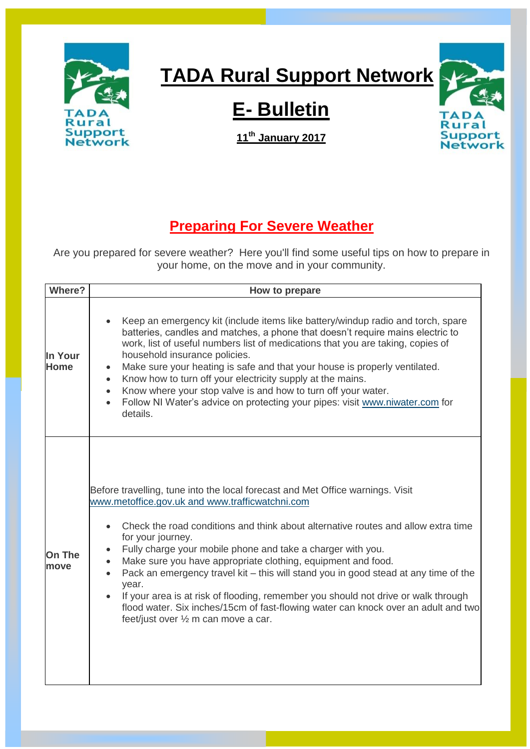

## **TADA Rural Support Network**

Rural

**Support** 

**Network** 

## **E- Bulletin**

**11th January 2017**

## **Preparing For Severe Weather**

Are you prepared for severe weather? Here you'll find some useful tips on how to prepare in your home, on the move and in your community.

| <b>Where?</b>          | How to prepare                                                                                                                                                                                                                                                                                                                                                                                                                                                                                                                                                                                                                                                                                                                             |
|------------------------|--------------------------------------------------------------------------------------------------------------------------------------------------------------------------------------------------------------------------------------------------------------------------------------------------------------------------------------------------------------------------------------------------------------------------------------------------------------------------------------------------------------------------------------------------------------------------------------------------------------------------------------------------------------------------------------------------------------------------------------------|
| In Your<br><b>Home</b> | Keep an emergency kit (include items like battery/windup radio and torch, spare<br>batteries, candles and matches, a phone that doesn't require mains electric to<br>work, list of useful numbers list of medications that you are taking, copies of<br>household insurance policies.<br>Make sure your heating is safe and that your house is properly ventilated.<br>$\bullet$<br>Know how to turn off your electricity supply at the mains.<br>$\bullet$<br>Know where your stop valve is and how to turn off your water.<br>$\bullet$<br>Follow NI Water's advice on protecting your pipes: visit www.niwater.com for<br>$\bullet$<br>details.                                                                                         |
| <b>On The</b><br>move  | Before travelling, tune into the local forecast and Met Office warnings. Visit<br>www.metoffice.gov.uk and www.trafficwatchni.com<br>Check the road conditions and think about alternative routes and allow extra time<br>for your journey.<br>Fully charge your mobile phone and take a charger with you.<br>٠<br>Make sure you have appropriate clothing, equipment and food.<br>$\bullet$<br>Pack an emergency travel kit - this will stand you in good stead at any time of the<br>$\bullet$<br>year.<br>If your area is at risk of flooding, remember you should not drive or walk through<br>$\bullet$<br>flood water. Six inches/15cm of fast-flowing water can knock over an adult and two<br>feet/just over 1/2 m can move a car. |